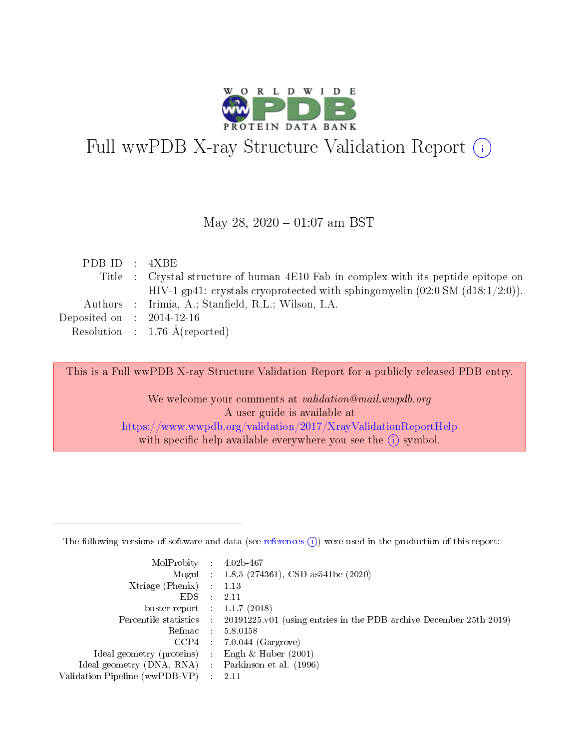

# Full wwPDB X-ray Structure Validation Report (i)

#### May 28,  $2020 - 01:07$  am BST

| PDBID : 4XBE                |                                                                                          |
|-----------------------------|------------------------------------------------------------------------------------------|
|                             | Title : Crystal structure of human 4E10 Fab in complex with its peptide epitope on       |
|                             | HIV-1 gp41: crystals cryoprotected with sphingomyelin $(02.0 \text{ SM } (d18.1/2.0))$ . |
|                             | Authors : Irimia, A.; Stanfield, R.L.; Wilson, I.A.                                      |
| Deposited on : $2014-12-16$ |                                                                                          |
|                             | Resolution : $1.76 \text{ Å}$ (reported)                                                 |
|                             |                                                                                          |

This is a Full wwPDB X-ray Structure Validation Report for a publicly released PDB entry.

We welcome your comments at validation@mail.wwpdb.org A user guide is available at <https://www.wwpdb.org/validation/2017/XrayValidationReportHelp> with specific help available everywhere you see the  $(i)$  symbol.

The following versions of software and data (see [references](https://www.wwpdb.org/validation/2017/XrayValidationReportHelp#references)  $(1)$ ) were used in the production of this report:

| MolProbity                     | $\mathcal{L}_{\rm{max}}$ | $4.02b - 467$                                                                |
|--------------------------------|--------------------------|------------------------------------------------------------------------------|
|                                |                          | Mogul : $1.8.5$ (274361), CSD as 541be (2020)                                |
| $X$ triage (Phenix) :          |                          | 1.13                                                                         |
| EDS.                           |                          | 2.11                                                                         |
| buster-report : $1.1.7$ (2018) |                          |                                                                              |
| Percentile statistics :        |                          | $20191225 \text{ v}01$ (using entries in the PDB archive December 25th 2019) |
| Refmac                         |                          | 5.8.0158                                                                     |
| $CCP4$ :                       |                          | $7.0.044$ (Gargrove)                                                         |
| Ideal geometry (proteins) :    |                          | Engh $\&$ Huber (2001)                                                       |
| Ideal geometry (DNA, RNA) :    |                          | Parkinson et al. (1996)                                                      |
| Validation Pipeline (wwPDB-VP) | $\mathcal{L}$            | -2.11                                                                        |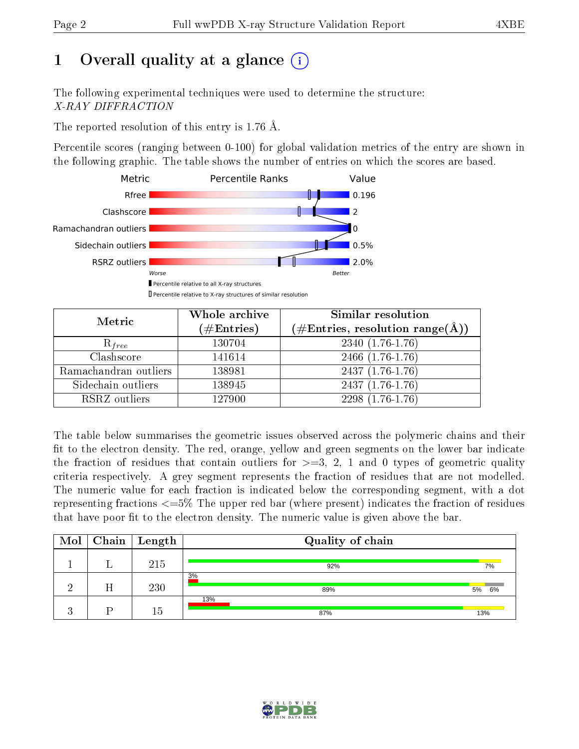# 1 [O](https://www.wwpdb.org/validation/2017/XrayValidationReportHelp#overall_quality)verall quality at a glance  $(i)$

The following experimental techniques were used to determine the structure: X-RAY DIFFRACTION

The reported resolution of this entry is 1.76 Å.

Percentile scores (ranging between 0-100) for global validation metrics of the entry are shown in the following graphic. The table shows the number of entries on which the scores are based.



| Metric                | Whole archive<br>$(\#\mathrm{Entries})$ | Similar resolution<br>$(\#\text{Entries}, \text{resolution range}(\text{\AA}))$ |
|-----------------------|-----------------------------------------|---------------------------------------------------------------------------------|
| $R_{free}$            | 130704                                  | $2340(1.76-1.76)$                                                               |
| Clashscore            | 141614                                  | 2466 (1.76-1.76)                                                                |
| Ramachandran outliers | 138981                                  | $2437(1.76-1.76)$                                                               |
| Sidechain outliers    | 138945                                  | $2437(1.76-1.76)$                                                               |
| RSRZ outliers         | 127900                                  | $2298(1.76-1.76)$                                                               |

The table below summarises the geometric issues observed across the polymeric chains and their fit to the electron density. The red, orange, yellow and green segments on the lower bar indicate the fraction of residues that contain outliers for  $>=3, 2, 1$  and 0 types of geometric quality criteria respectively. A grey segment represents the fraction of residues that are not modelled. The numeric value for each fraction is indicated below the corresponding segment, with a dot representing fractions  $\epsilon=5\%$  The upper red bar (where present) indicates the fraction of residues that have poor fit to the electron density. The numeric value is given above the bar.

| Mol |   | Chain   Length | Quality of chain |          |
|-----|---|----------------|------------------|----------|
|     |   | 215            | 92%              | 7%       |
|     | Η | 230            | 3%<br>89%        | 5%<br>6% |
|     |   | 15             | 13%<br>87%       | 13%      |

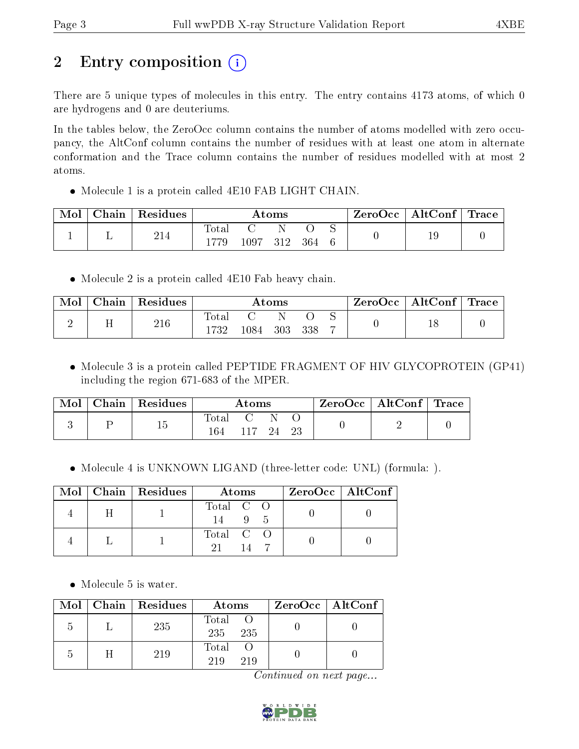# 2 Entry composition (i)

There are 5 unique types of molecules in this entry. The entry contains 4173 atoms, of which 0 are hydrogens and 0 are deuteriums.

In the tables below, the ZeroOcc column contains the number of atoms modelled with zero occupancy, the AltConf column contains the number of residues with at least one atom in alternate conformation and the Trace column contains the number of residues modelled with at most 2 atoms.

• Molecule 1 is a protein called 4E10 FAB LIGHT CHAIN.

| Mol | Chain | Residues |                |               | Atoms |     | $\text{ZeroOcc}$   AltConf   Trace |    |  |
|-----|-------|----------|----------------|---------------|-------|-----|------------------------------------|----|--|
|     |       | 214      | $\text{Total}$ |               |       |     |                                    | 19 |  |
|     |       |          |                | $^{\circ}097$ | 312   | 364 |                                    |    |  |

Molecule 2 is a protein called 4E10 Fab heavy chain.

| Mol | $Chain   Residues$ | $\rm{Atoms}$     |      |     |     | $\text{ZeroOcc} \mid \text{AltConf} \mid \text{Trace}$ |  |  |
|-----|--------------------|------------------|------|-----|-----|--------------------------------------------------------|--|--|
|     | 216                | $\mathrm{Total}$ |      |     |     |                                                        |  |  |
|     |                    | 1732             | .084 | 303 | 338 |                                                        |  |  |

• Molecule 3 is a protein called PEPTIDE FRAGMENT OF HIV GLYCOPROTEIN (GP41) including the region 671-683 of the MPER.

| Mol | Chain Residues | Atoms        |           |  | $\text{ZeroOcc} \mid \text{AltConf} \mid \text{Trace}$ |  |  |
|-----|----------------|--------------|-----------|--|--------------------------------------------------------|--|--|
|     |                | Total<br>164 | 117 24 23 |  |                                                        |  |  |

• Molecule 4 is UNKNOWN LIGAND (three-letter code: UNL) (formula: ).

|  | $Mol$   Chain   Residues | Atoms          | ZeroOcc   AltConf |
|--|--------------------------|----------------|-------------------|
|  |                          | Total C O<br>9 |                   |
|  |                          | Total C O      |                   |

• Molecule 5 is water.

|            | Mol   Chain   Residues | Atoms                 | $ZeroOcc \   \ AltConf \  $ |
|------------|------------------------|-----------------------|-----------------------------|
|            | 235                    | Total O<br>235<br>235 |                             |
| $\sqrt{ }$ | 219                    | Total<br>219<br>219   |                             |

Continued on next page...

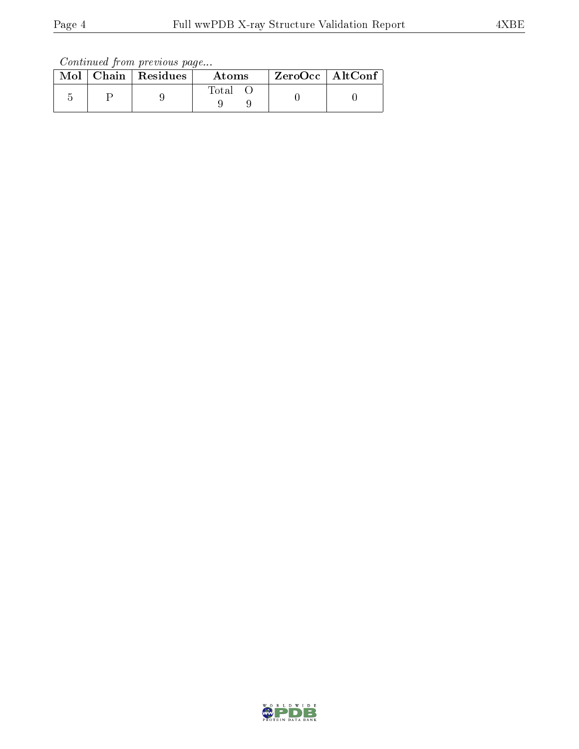Continued from previous page...

|  | $\text{Mol}$   Chain   Residues | Atoms       | ZeroOcc   AltConf |
|--|---------------------------------|-------------|-------------------|
|  |                                 | $\rm Total$ |                   |

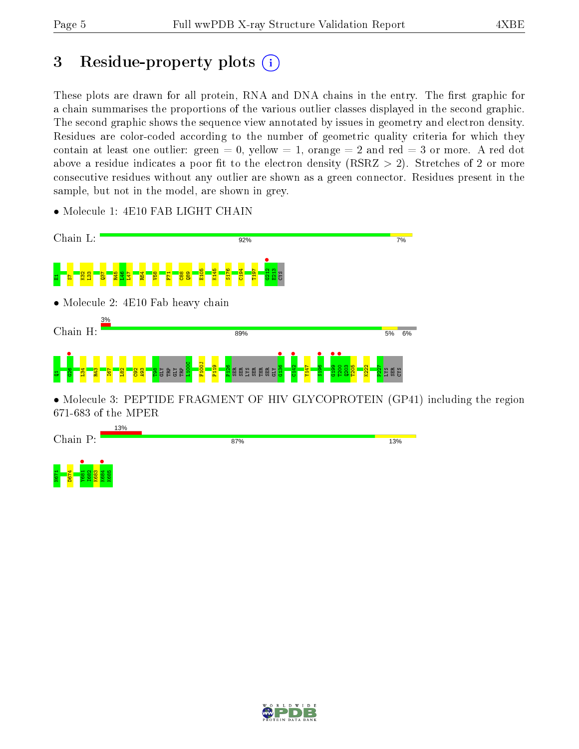N67<br>N674 888<br>N682 B688<br>N682 888

K684 • K685

## 3 Residue-property plots  $(i)$

These plots are drawn for all protein, RNA and DNA chains in the entry. The first graphic for a chain summarises the proportions of the various outlier classes displayed in the second graphic. The second graphic shows the sequence view annotated by issues in geometry and electron density. Residues are color-coded according to the number of geometric quality criteria for which they contain at least one outlier: green  $= 0$ , yellow  $= 1$ , orange  $= 2$  and red  $= 3$  or more. A red dot above a residue indicates a poor fit to the electron density (RSRZ  $> 2$ ). Stretches of 2 or more consecutive residues without any outlier are shown as a green connector. Residues present in the sample, but not in the model, are shown in grey.



• Molecule 1: 4E10 FAB LIGHT CHAIN

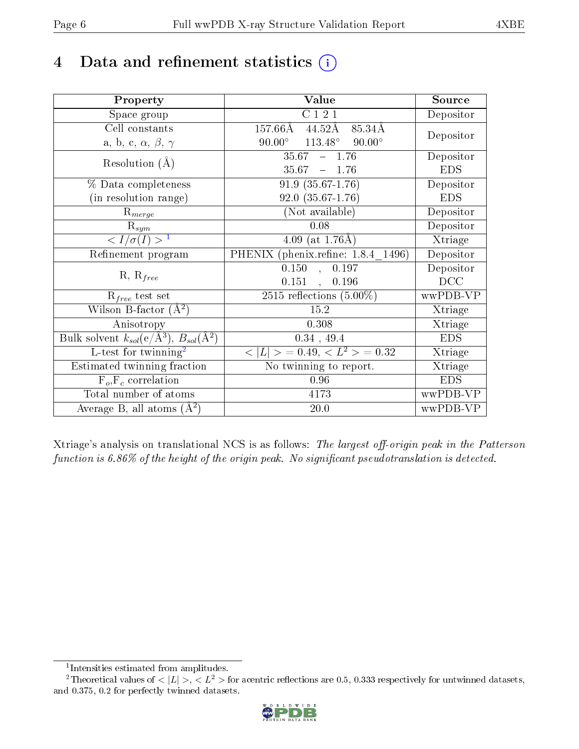## 4 Data and refinement statistics  $(i)$

| Property                                                   | Value                                            | Source                  |
|------------------------------------------------------------|--------------------------------------------------|-------------------------|
| Space group                                                | $\overline{C}$ 1 2 1                             | $\overline{D}$ epositor |
| Cell constants                                             | $157.66\rm\AA$<br>44.52Å<br>85.34Å               |                         |
| a, b, c, $\alpha$ , $\beta$ , $\gamma$                     | $113.48^\circ$<br>$90.00^\circ$<br>$90.00^\circ$ | Depositor               |
| Resolution $(A)$                                           | 35.67<br>$-1.76$                                 | Depositor               |
|                                                            | 35.67<br>$-1.76$                                 | <b>EDS</b>              |
| % Data completeness                                        | $91.9(35.67-1.76)$                               | Depositor               |
| (in resolution range)                                      | $92.0(35.67-1.76)$                               | <b>EDS</b>              |
| $R_{merge}$                                                | (Not available)                                  | Depositor               |
| $\mathrm{R}_{sym}$                                         | 0.08                                             | Depositor               |
| $\langle I/\sigma(I) \rangle^{-1}$                         | 4.09 (at $1.76\text{\AA}$ )                      | Xtriage                 |
| Refinement program                                         | PHENIX (phenix.refine: 1.8.4 1496)               | Depositor               |
|                                                            | 0.150<br>0.197<br>$\mathbf{r}$                   | Depositor               |
| $R, R_{free}$                                              | $0.151$ ,<br>0.196                               | DCC                     |
| $R_{free}$ test set                                        | $\overline{2515}$ reflections $(5.00\%)$         | wwPDB-VP                |
| Wilson B-factor $(A^2)$                                    | 15.2                                             | Xtriage                 |
| Anisotropy                                                 | 0.308                                            | Xtriage                 |
| Bulk solvent $k_{sol}$ (e/Å <sup>3</sup> ), $B_{sol}(A^2)$ | 0.34, 49.4                                       | <b>EDS</b>              |
| $L$ -test for twinning <sup>2</sup>                        | $< L >$ = 0.49, $< L2$ > = 0.32                  | Xtriage                 |
| Estimated twinning fraction                                | No twinning to report.                           | Xtriage                 |
| $F_o, F_c$ correlation                                     | 0.96                                             | <b>EDS</b>              |
| Total number of atoms                                      | 4173                                             | wwPDB-VP                |
| Average B, all atoms $(A^2)$                               | 20.0                                             | wwPDB-VP                |

Xtriage's analysis on translational NCS is as follows: The largest off-origin peak in the Patterson function is  $6.86\%$  of the height of the origin peak. No significant pseudotranslation is detected.

<sup>&</sup>lt;sup>2</sup>Theoretical values of  $\langle |L| \rangle$ ,  $\langle L^2 \rangle$  for acentric reflections are 0.5, 0.333 respectively for untwinned datasets, and 0.375, 0.2 for perfectly twinned datasets.



<span id="page-5-1"></span><span id="page-5-0"></span><sup>1</sup> Intensities estimated from amplitudes.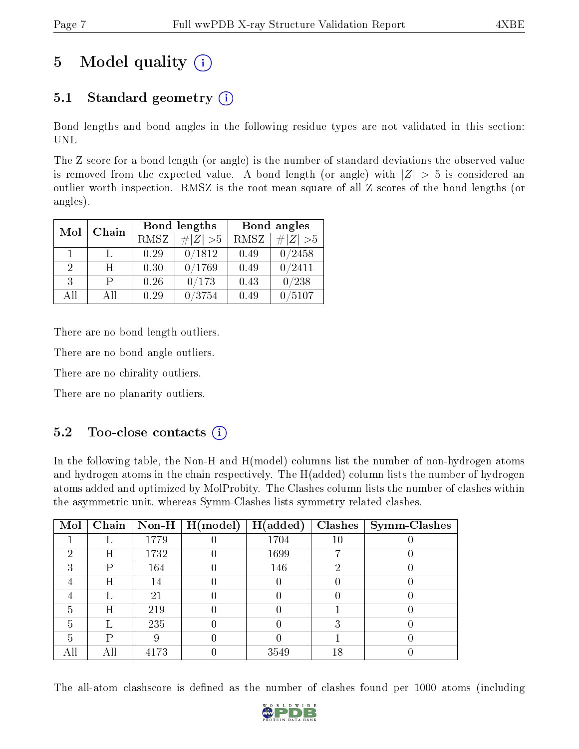## 5 Model quality  $(i)$

### 5.1 Standard geometry  $(i)$

Bond lengths and bond angles in the following residue types are not validated in this section: UNL

The Z score for a bond length (or angle) is the number of standard deviations the observed value is removed from the expected value. A bond length (or angle) with  $|Z| > 5$  is considered an outlier worth inspection. RMSZ is the root-mean-square of all Z scores of the bond lengths (or angles).

| Mol | Chain |             | Bond lengths    |             | Bond angles |
|-----|-------|-------------|-----------------|-------------|-------------|
|     |       | <b>RMSZ</b> | $\# Z  > 5$     | <b>RMSZ</b> | # $ Z  > 5$ |
| 1   |       | 0.29        | 0/1812          | 0.49        | 0/2458      |
| 2   | H     | 0.30        | 0/1769          | 0.49        | 0/2411      |
| 3   | р     | 0.26        | 0/173           | 0.43        | /238        |
| All | A II  | 0.29        | $^{\prime}3754$ | 0.49        | 5107        |

There are no bond length outliers.

There are no bond angle outliers.

There are no chirality outliers.

There are no planarity outliers.

### $5.2$  Too-close contacts  $(i)$

In the following table, the Non-H and H(model) columns list the number of non-hydrogen atoms and hydrogen atoms in the chain respectively. The H(added) column lists the number of hydrogen atoms added and optimized by MolProbity. The Clashes column lists the number of clashes within the asymmetric unit, whereas Symm-Clashes lists symmetry related clashes.

| Mol | Chain |      | $\mid$ Non-H $\mid$ H(model) | H(added) | Clashes | $\vert$ Symm-Clashes |
|-----|-------|------|------------------------------|----------|---------|----------------------|
|     |       | 1779 |                              | 1704     | 10      |                      |
| 2   | Η     | 1732 |                              | 1699     |         |                      |
| 3   | P     | 164  |                              | 146      | റ       |                      |
| 4   | Η     | 14   |                              |          |         |                      |
|     |       | 21   |                              |          |         |                      |
| 5   | Η     | 219  |                              |          |         |                      |
| 5   |       | 235  |                              |          |         |                      |
| 5   | D     |      |                              |          |         |                      |
|     |       | 4173 |                              | 3549     | 18      |                      |

The all-atom clashscore is defined as the number of clashes found per 1000 atoms (including

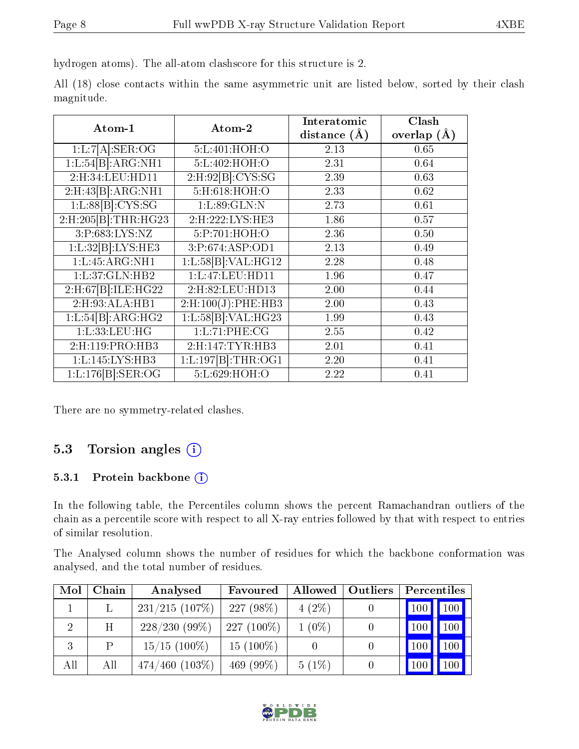hydrogen atoms). The all-atom clashscore for this structure is 2.

|            |  |  |  | All (18) close contacts within the same asymmetric unit are listed below, sorted by their clash |  |  |  |  |
|------------|--|--|--|-------------------------------------------------------------------------------------------------|--|--|--|--|
| magnitude. |  |  |  |                                                                                                 |  |  |  |  |

| Atom-1                     | Atom-2                | Interatomic      | Clash         |
|----------------------------|-----------------------|------------------|---------------|
|                            |                       | distance $(\AA)$ | overlap $(A)$ |
| 1:L:7[A].SER:OG            | 5:L:401:HOH:O         | 2.13             | 0.65          |
| 1:L:54[B]:ARG:NH1          | 5:L:402:HOH:O         | 2.31             | 0.64          |
| 2:H:34:LEU:HD11            | 2:H:92[B]:CYS:SG      | 2.39             | 0.63          |
| 2:H:43[B]:ARG:NH1          | $5:$ H:618:HOH:O      | 2.33             | 0.62          |
| 1: L:88[B]: CYS:SG         | 1:L:89:GLN:N          | 2.73             | 0.61          |
| 2:H:205[B]:THR:HG23        | 2:H:222:LYS:HE3       | 1.86             | 0.57          |
| 3: P: 683: LYS: NZ         | 5:P:701:HOH:O         | 2.36             | 0.50          |
| 1:L:32[B]:LYS:HE3          | 3:P:674:ASP:OD1       | 2.13             | 0.49          |
| 1: L: 45: ARG: NH1         | 1:L:58[B]:VAL:H G12   | 2.28             | 0.48          |
| 1:L:37:GLN:HB2             | 1:L:47:LEU:HD11       | 1.96             | 0.47          |
| 2:H:67 [B]: ILE: HG22      | 2:H:82:LEU:HD13       | 2.00             | 0.44          |
| 2:H:93:ALA:HB1             | $2:$ H:100(J):PHE:HB3 | 2.00             | 0.43          |
| 1:L:54 B :ARG:HG2          | 1:L:58 B :VAL:HG23    | 1.99             | 0.43          |
| 1:L:33:LEU:HG              | 1:L:71:PHE:CG         | 2.55             | 0.42          |
| 2:H:119:PRO:HB3            | 2:H:147:TYR:HB3       | 2.01             | 0.41          |
| 1: L: 145: LYS: HB3        | 1:L:197[B]:THR:OG1    | 2.20             | 0.41          |
| $1:L:176[B]:\text{SER:OG}$ | 5:L:629:HOH:O         | 2.22             | 0.41          |

There are no symmetry-related clashes.

### 5.3 Torsion angles  $(i)$

#### 5.3.1 Protein backbone (i)

In the following table, the Percentiles column shows the percent Ramachandran outliers of the chain as a percentile score with respect to all X-ray entries followed by that with respect to entries of similar resolution.

The Analysed column shows the number of residues for which the backbone conformation was analysed, and the total number of residues.

| Mol            | Chain | Analysed            | Favoured     | Allowed  | Outliers |     | Percentiles   |
|----------------|-------|---------------------|--------------|----------|----------|-----|---------------|
|                |       | 231/215(107%)       | $227(98\%)$  | $4(2\%)$ |          |     | $100$   $100$ |
| $\overline{2}$ | H     | $228/230(99\%)$     | $227(100\%)$ | $1(0\%)$ |          | 100 | 100           |
| 3              | P     | $15/15$ (100\%)     | $15(100\%)$  |          |          | 100 | 100           |
| All            | All   | $474/460$ $(103\%)$ | 469 (99\%)   | $5(1\%)$ |          | 100 | 100           |

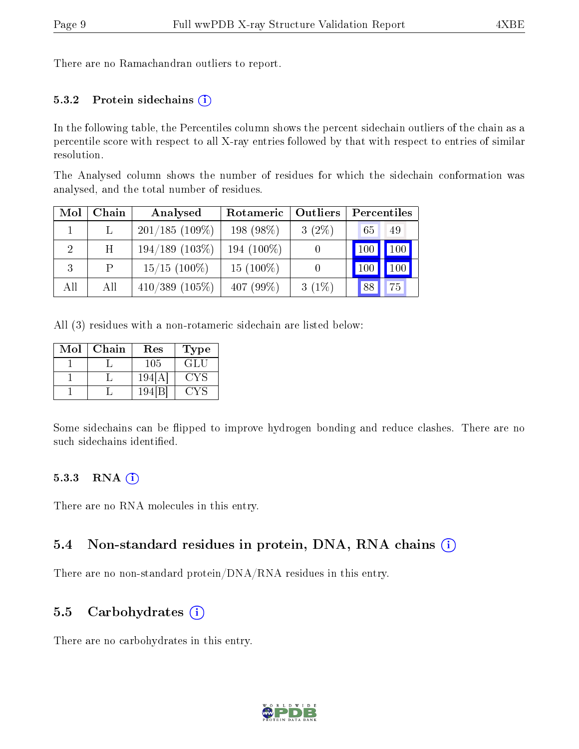There are no Ramachandran outliers to report.

#### 5.3.2 Protein sidechains  $(i)$

In the following table, the Percentiles column shows the percent sidechain outliers of the chain as a percentile score with respect to all X-ray entries followed by that with respect to entries of similar resolution.

The Analysed column shows the number of residues for which the sidechain conformation was analysed, and the total number of residues.

| Mol | Chain | Analysed            | Rotameric<br>Outliers |          | Percentiles           |     |  |
|-----|-------|---------------------|-----------------------|----------|-----------------------|-----|--|
|     |       | $201/185(109\%)$    | 198 (98%)             | $3(2\%)$ | 65                    | 49  |  |
| 2   | H     | $194/189$ $(103\%)$ | 194 (100\%)           |          | $\lfloor 100 \rfloor$ | 100 |  |
| 3   | P     | $15/15$ (100\%)     | $15(100\%)$           |          | 100                   | 100 |  |
| All | All   | $410/389$ (105\%)   | 407 $(99\%)$          | $3(1\%)$ | 88                    | 75  |  |

All (3) residues with a non-rotameric sidechain are listed below:

| Mol | Chain | $\operatorname{Res}% \left( \mathcal{N}\right) \equiv\operatorname{Res}(\mathcal{N}_{0},\mathcal{N}_{0})$ | l'ype |
|-----|-------|-----------------------------------------------------------------------------------------------------------|-------|
|     |       | 105                                                                                                       | GLU   |
|     |       | 194                                                                                                       | . : Y |
|     |       | 19                                                                                                        |       |

Some sidechains can be flipped to improve hydrogen bonding and reduce clashes. There are no such sidechains identified.

#### 5.3.3 RNA [O](https://www.wwpdb.org/validation/2017/XrayValidationReportHelp#rna)i

There are no RNA molecules in this entry.

#### 5.4 Non-standard residues in protein, DNA, RNA chains (i)

There are no non-standard protein/DNA/RNA residues in this entry.

#### 5.5 Carbohydrates (i)

There are no carbohydrates in this entry.

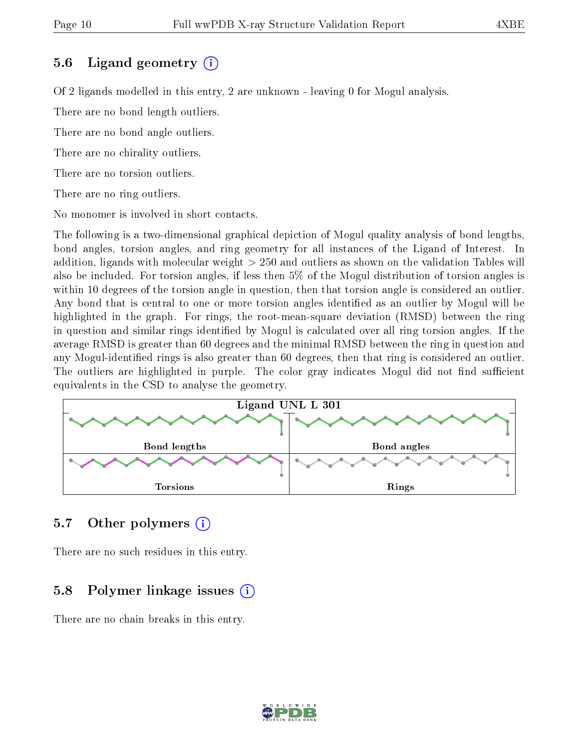#### 5.6 Ligand geometry (i)

Of 2 ligands modelled in this entry, 2 are unknown - leaving 0 for Mogul analysis.

There are no bond length outliers.

There are no bond angle outliers.

There are no chirality outliers.

There are no torsion outliers.

There are no ring outliers.

No monomer is involved in short contacts.

The following is a two-dimensional graphical depiction of Mogul quality analysis of bond lengths, bond angles, torsion angles, and ring geometry for all instances of the Ligand of Interest. In addition, ligands with molecular weight > 250 and outliers as shown on the validation Tables will also be included. For torsion angles, if less then 5% of the Mogul distribution of torsion angles is within 10 degrees of the torsion angle in question, then that torsion angle is considered an outlier. Any bond that is central to one or more torsion angles identified as an outlier by Mogul will be highlighted in the graph. For rings, the root-mean-square deviation (RMSD) between the ring in question and similar rings identified by Mogul is calculated over all ring torsion angles. If the average RMSD is greater than 60 degrees and the minimal RMSD between the ring in question and any Mogul-identied rings is also greater than 60 degrees, then that ring is considered an outlier. The outliers are highlighted in purple. The color gray indicates Mogul did not find sufficient equivalents in the CSD to analyse the geometry.



#### 5.7 [O](https://www.wwpdb.org/validation/2017/XrayValidationReportHelp#nonstandard_residues_and_ligands)ther polymers (i)

There are no such residues in this entry.

### 5.8 Polymer linkage issues (i)

There are no chain breaks in this entry.

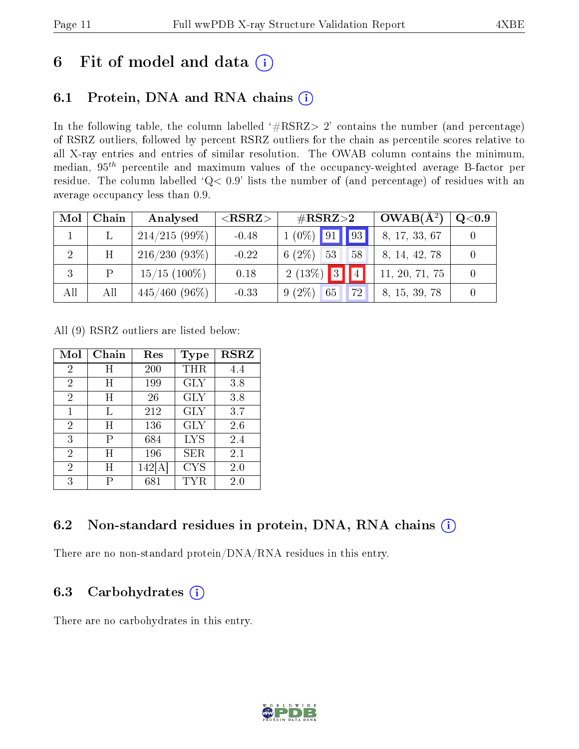## 6 Fit of model and data  $(i)$

### 6.1 Protein, DNA and RNA chains  $(i)$

In the following table, the column labelled  $#RSRZ> 2'$  contains the number (and percentage) of RSRZ outliers, followed by percent RSRZ outliers for the chain as percentile scores relative to all X-ray entries and entries of similar resolution. The OWAB column contains the minimum, median,  $95<sup>th</sup>$  percentile and maximum values of the occupancy-weighted average B-factor per residue. The column labelled ' $Q< 0.9$ ' lists the number of (and percentage) of residues with an average occupancy less than 0.9.

| Mol | Chain | Analysed         | ${ <\hspace{-1.5pt}{\mathrm{RSRZ}} \hspace{-1.5pt}>}$ | $\rm \#RSRZ{>}2$               | $OWAB(A^2)$    | $\bf Q\texttt{<}0.9$ |
|-----|-------|------------------|-------------------------------------------------------|--------------------------------|----------------|----------------------|
|     |       | $214/215(99\%)$  | $-0.48$                                               | $1(0\%)$ 91 93                 | 8, 17, 33, 67  |                      |
|     | H     | $216/230(93\%)$  | $-0.22$                                               | $6(2\%)$ 53<br>58              | 8, 14, 42, 78  |                      |
| 3   | P     | $15/15$ (100%)   | 0.18                                                  | $2(13\%)$ 3                    | 11, 20, 71, 75 |                      |
| All | All   | $445/460 (96\%)$ | $-0.33$                                               | $9(2\%)$ 65<br>72 <sup>1</sup> | 8, 15, 39, 78  |                      |

All (9) RSRZ outliers are listed below:

| Mol            | ${\rm Chain}$ | Res     | Type       | <b>RSRZ</b> |
|----------------|---------------|---------|------------|-------------|
| 2              | Η             | 200     | THR        | 4.4         |
| $\overline{2}$ | Η             | 199     | GLY        | 3.8         |
| $\overline{2}$ | H             | 26      | GLY        | 3.8         |
| 1              | Τ,            | 212     | GLY        | 3.7         |
| 2              | Η             | 136     | <b>GLY</b> | 2.6         |
| 3              | Р             | 684     | <b>LYS</b> | 2.4         |
| 2              | H             | 196     | SER        | 2.1         |
| 2              | Η             | 142   A | <b>CYS</b> | 2.0         |
| 3              | Р             | 681     | TYR        | 2.0         |

### 6.2 Non-standard residues in protein, DNA, RNA chains  $(i)$

There are no non-standard protein/DNA/RNA residues in this entry.

### 6.3 Carbohydrates  $(i)$

There are no carbohydrates in this entry.